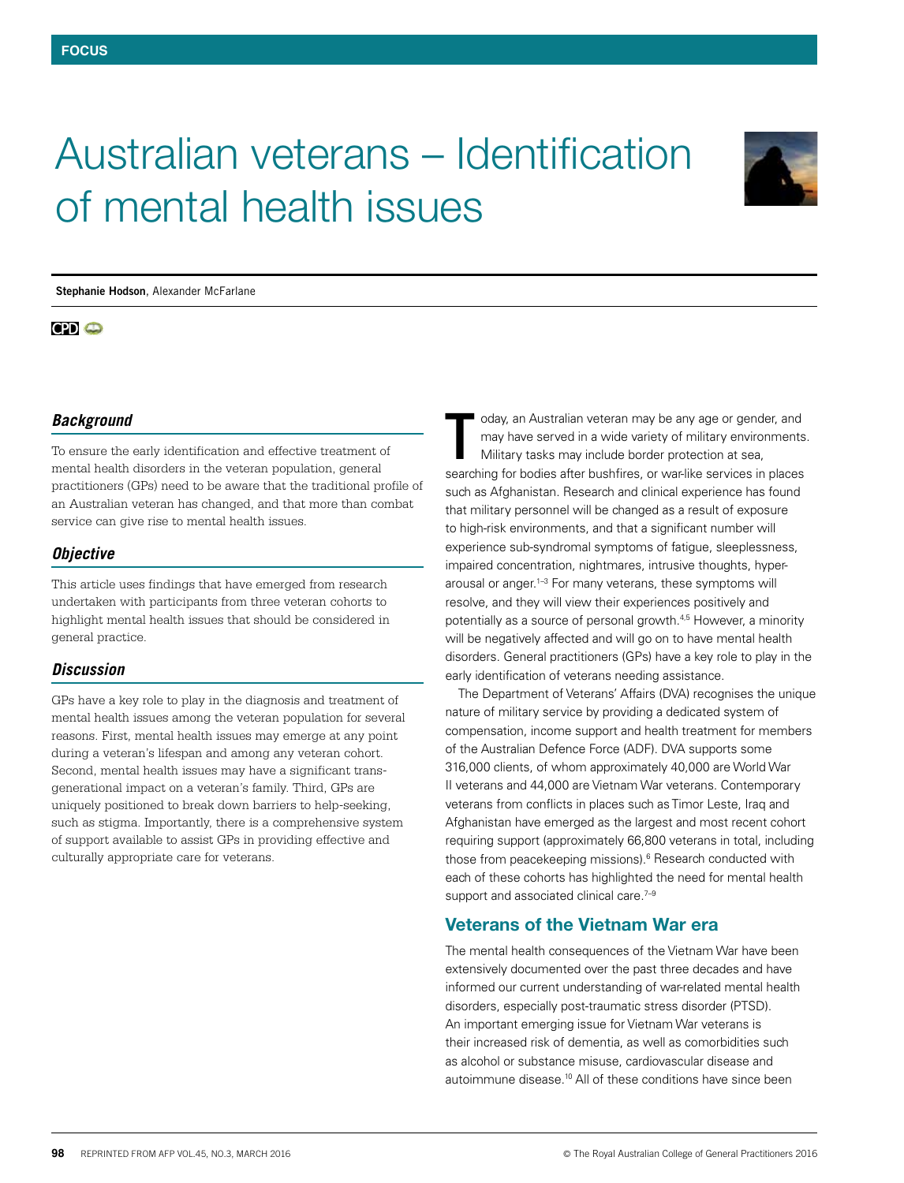

# Australian veterans – Identification of mental health issues

**Stephanie Hodson**, Alexander McFarlane

# $CD<sub>o</sub>$

# *Background*

To ensure the early identification and effective treatment of mental health disorders in the veteran population, general practitioners (GPs) need to be aware that the traditional profile of an Australian veteran has changed, and that more than combat service can give rise to mental health issues.

## *Objective*

This article uses findings that have emerged from research undertaken with participants from three veteran cohorts to highlight mental health issues that should be considered in general practice.

## *Discussion*

GPs have a key role to play in the diagnosis and treatment of mental health issues among the veteran population for several reasons. First, mental health issues may emerge at any point during a veteran's lifespan and among any veteran cohort. Second, mental health issues may have a significant transgenerational impact on a veteran's family. Third, GPs are uniquely positioned to break down barriers to help-seeking, such as stigma. Importantly, there is a comprehensive system of support available to assist GPs in providing effective and culturally appropriate care for veterans.

oday, an Australian veteran may be any age or gender, and may have served in a wide variety of military environments. Military tasks may include border protection at sea, oday, an Australian veteran may be any age or gender, and<br>may have served in a wide variety of military environments<br>Military tasks may include border protection at sea,<br>searching for bodies after bushfires, or war-like se such as Afghanistan. Research and clinical experience has found that military personnel will be changed as a result of exposure to high-risk environments, and that a significant number will experience sub-syndromal symptoms of fatigue, sleeplessness, impaired concentration, nightmares, intrusive thoughts, hyperarousal or anger.<sup>1-3</sup> For many veterans, these symptoms will resolve, and they will view their experiences positively and potentially as a source of personal growth.4,5 However, a minority will be negatively affected and will go on to have mental health disorders. General practitioners (GPs) have a key role to play in the early identification of veterans needing assistance.

The Department of Veterans' Affairs (DVA) recognises the unique nature of military service by providing a dedicated system of compensation, income support and health treatment for members of the Australian Defence Force (ADF). DVA supports some 316,000 clients, of whom approximately 40,000 are World War II veterans and 44,000 are Vietnam War veterans. Contemporary veterans from conflicts in places such as Timor Leste, Iraq and Afghanistan have emerged as the largest and most recent cohort requiring support (approximately 66,800 veterans in total, including those from peacekeeping missions).<sup>6</sup> Research conducted with each of these cohorts has highlighted the need for mental health support and associated clinical care.<sup>7-9</sup>

# Veterans of the Vietnam War era

The mental health consequences of the Vietnam War have been extensively documented over the past three decades and have informed our current understanding of war-related mental health disorders, especially post-traumatic stress disorder (PTSD). An important emerging issue for Vietnam War veterans is their increased risk of dementia, as well as comorbidities such as alcohol or substance misuse, cardiovascular disease and autoimmune disease.10 All of these conditions have since been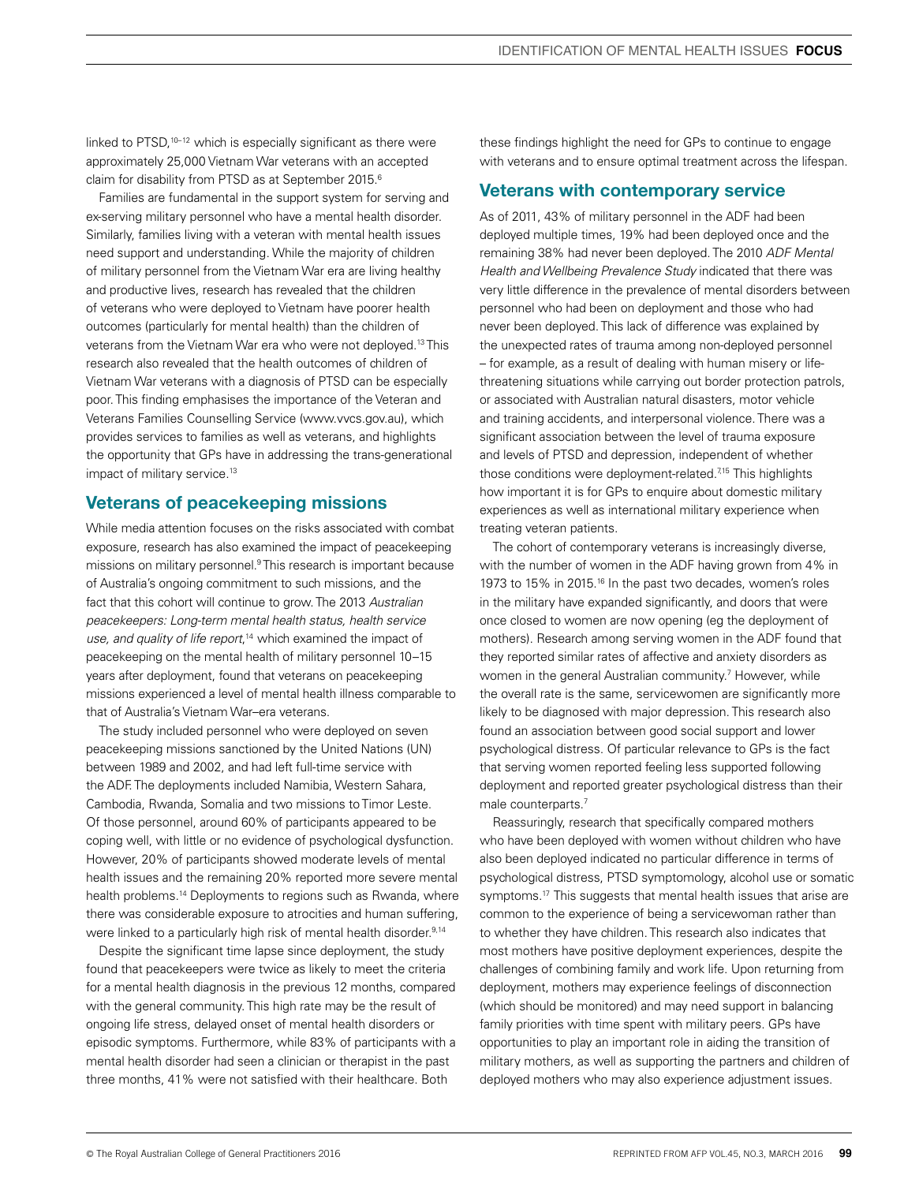linked to PTSD,<sup>10-12</sup> which is especially significant as there were approximately 25,000 Vietnam War veterans with an accepted claim for disability from PTSD as at September 2015.<sup>6</sup>

Families are fundamental in the support system for serving and ex-serving military personnel who have a mental health disorder. Similarly, families living with a veteran with mental health issues need support and understanding. While the majority of children of military personnel from the Vietnam War era are living healthy and productive lives, research has revealed that the children of veterans who were deployed to Vietnam have poorer health outcomes (particularly for mental health) than the children of veterans from the Vietnam War era who were not deployed.13 This research also revealed that the health outcomes of children of Vietnam War veterans with a diagnosis of PTSD can be especially poor. This finding emphasises the importance of the Veteran and Veterans Families Counselling Service (www.vvcs.gov.au), which provides services to families as well as veterans, and highlights the opportunity that GPs have in addressing the trans-generational impact of military service.<sup>13</sup>

# Veterans of peacekeeping missions

While media attention focuses on the risks associated with combat exposure, research has also examined the impact of peacekeeping missions on military personnel.9 This research is important because of Australia's ongoing commitment to such missions, and the fact that this cohort will continue to grow. The 2013 *Australian peacekeepers: Long-term mental health status, health service use, and quality of life report*, 14 which examined the impact of peacekeeping on the mental health of military personnel 10–15 years after deployment, found that veterans on peacekeeping missions experienced a level of mental health illness comparable to that of Australia's Vietnam War–era veterans.

The study included personnel who were deployed on seven peacekeeping missions sanctioned by the United Nations (UN) between 1989 and 2002, and had left full-time service with the ADF. The deployments included Namibia, Western Sahara, Cambodia, Rwanda, Somalia and two missions to Timor Leste. Of those personnel, around 60% of participants appeared to be coping well, with little or no evidence of psychological dysfunction. However, 20% of participants showed moderate levels of mental health issues and the remaining 20% reported more severe mental health problems.<sup>14</sup> Deployments to regions such as Rwanda, where there was considerable exposure to atrocities and human suffering, were linked to a particularly high risk of mental health disorder.<sup>9,14</sup>

Despite the significant time lapse since deployment, the study found that peacekeepers were twice as likely to meet the criteria for a mental health diagnosis in the previous 12 months, compared with the general community. This high rate may be the result of ongoing life stress, delayed onset of mental health disorders or episodic symptoms. Furthermore, while 83% of participants with a mental health disorder had seen a clinician or therapist in the past three months, 41% were not satisfied with their healthcare. Both

these findings highlight the need for GPs to continue to engage with veterans and to ensure optimal treatment across the lifespan.

# Veterans with contemporary service

As of 2011, 43% of military personnel in the ADF had been deployed multiple times, 19% had been deployed once and the remaining 38% had never been deployed. The 2010 *ADF Mental Health and Wellbeing Prevalence Study* indicated that there was very little difference in the prevalence of mental disorders between personnel who had been on deployment and those who had never been deployed. This lack of difference was explained by the unexpected rates of trauma among non-deployed personnel – for example, as a result of dealing with human misery or lifethreatening situations while carrying out border protection patrols, or associated with Australian natural disasters, motor vehicle and training accidents, and interpersonal violence. There was a significant association between the level of trauma exposure and levels of PTSD and depression, independent of whether those conditions were deployment-related.<sup>7,15</sup> This highlights how important it is for GPs to enquire about domestic military experiences as well as international military experience when treating veteran patients.

The cohort of contemporary veterans is increasingly diverse, with the number of women in the ADF having grown from 4% in 1973 to 15% in 2015.<sup>16</sup> In the past two decades, women's roles in the military have expanded significantly, and doors that were once closed to women are now opening (eg the deployment of mothers). Research among serving women in the ADF found that they reported similar rates of affective and anxiety disorders as women in the general Australian community.<sup>7</sup> However, while the overall rate is the same, servicewomen are significantly more likely to be diagnosed with major depression. This research also found an association between good social support and lower psychological distress. Of particular relevance to GPs is the fact that serving women reported feeling less supported following deployment and reported greater psychological distress than their male counterparts.<sup>7</sup>

Reassuringly, research that specifically compared mothers who have been deployed with women without children who have also been deployed indicated no particular difference in terms of psychological distress, PTSD symptomology, alcohol use or somatic symptoms.<sup>17</sup> This suggests that mental health issues that arise are common to the experience of being a servicewoman rather than to whether they have children. This research also indicates that most mothers have positive deployment experiences, despite the challenges of combining family and work life. Upon returning from deployment, mothers may experience feelings of disconnection (which should be monitored) and may need support in balancing family priorities with time spent with military peers. GPs have opportunities to play an important role in aiding the transition of military mothers, as well as supporting the partners and children of deployed mothers who may also experience adjustment issues.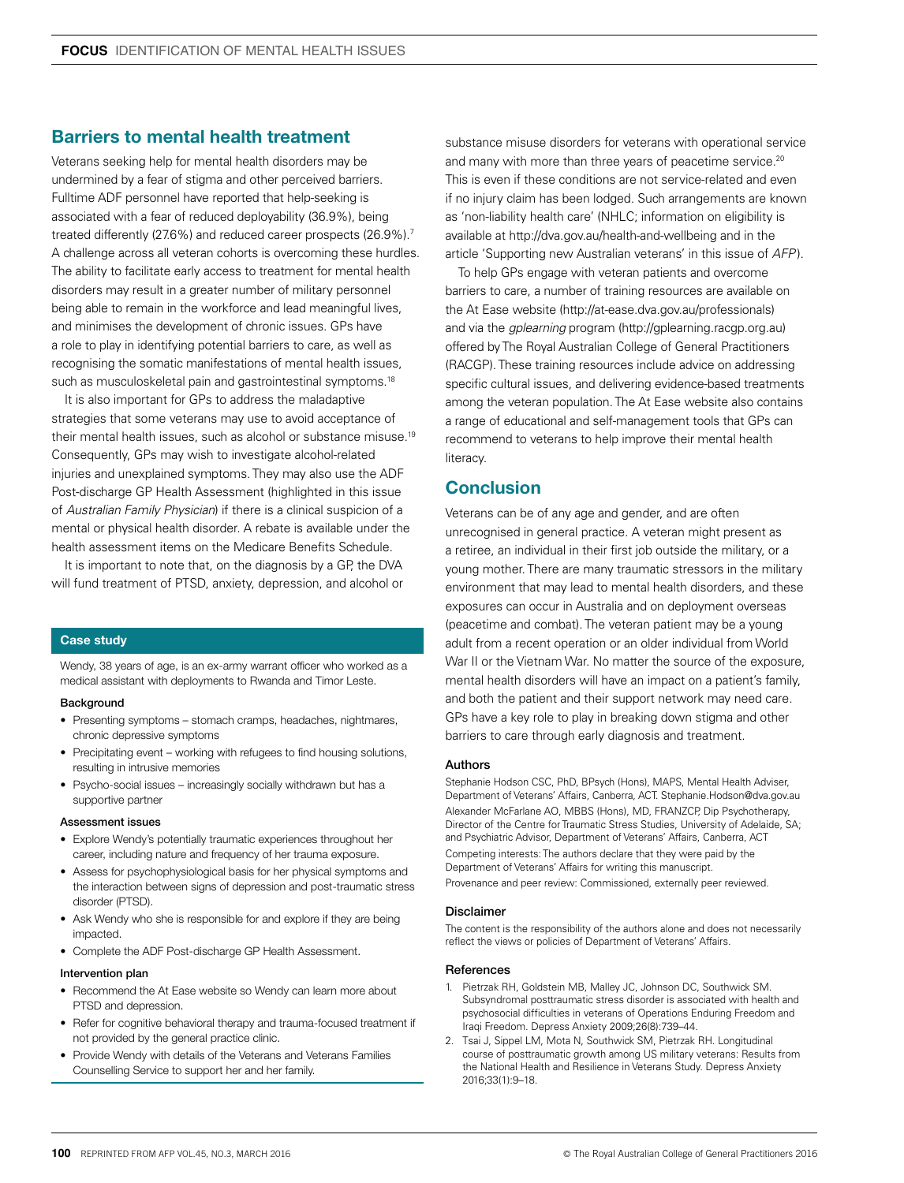# Barriers to mental health treatment

Veterans seeking help for mental health disorders may be undermined by a fear of stigma and other perceived barriers. Fulltime ADF personnel have reported that help-seeking is associated with a fear of reduced deployability (36.9%), being treated differently (27.6%) and reduced career prospects (26.9%).<sup>7</sup> A challenge across all veteran cohorts is overcoming these hurdles. The ability to facilitate early access to treatment for mental health disorders may result in a greater number of military personnel being able to remain in the workforce and lead meaningful lives, and minimises the development of chronic issues. GPs have a role to play in identifying potential barriers to care, as well as recognising the somatic manifestations of mental health issues, such as musculoskeletal pain and gastrointestinal symptoms.<sup>18</sup>

It is also important for GPs to address the maladaptive strategies that some veterans may use to avoid acceptance of their mental health issues, such as alcohol or substance misuse.19 Consequently, GPs may wish to investigate alcohol-related injuries and unexplained symptoms. They may also use the ADF Post-discharge GP Health Assessment (highlighted in this issue of *Australian Family Physician*) if there is a clinical suspicion of a mental or physical health disorder. A rebate is available under the health assessment items on the Medicare Benefits Schedule.

It is important to note that, on the diagnosis by a GP, the DVA will fund treatment of PTSD, anxiety, depression, and alcohol or

## Case study

Wendy, 38 years of age, is an ex-army warrant officer who worked as a medical assistant with deployments to Rwanda and Timor Leste.

## **Background**

- Presenting symptoms stomach cramps, headaches, nightmares, chronic depressive symptoms
- Precipitating event working with refugees to find housing solutions, resulting in intrusive memories
- Psycho-social issues increasingly socially withdrawn but has a supportive partner

#### Assessment issues

- Explore Wendy's potentially traumatic experiences throughout her career, including nature and frequency of her trauma exposure.
- Assess for psychophysiological basis for her physical symptoms and the interaction between signs of depression and post-traumatic stress disorder (PTSD).
- Ask Wendy who she is responsible for and explore if they are being impacted.
- Complete the ADF Post-discharge GP Health Assessment.

## Intervention plan

- Recommend the At Ease website so Wendy can learn more about PTSD and depression.
- Refer for cognitive behavioral therapy and trauma-focused treatment if not provided by the general practice clinic.
- Provide Wendy with details of the Veterans and Veterans Families Counselling Service to support her and her family.

substance misuse disorders for veterans with operational service and many with more than three years of peacetime service.<sup>20</sup> This is even if these conditions are not service-related and even if no injury claim has been lodged. Such arrangements are known as 'non-liability health care' (NHLC; information on eligibility is available at http://dva.gov.au/health-and-wellbeing and in the article 'Supporting new Australian veterans' in this issue of *AFP* ).

To help GPs engage with veteran patients and overcome barriers to care, a number of training resources are available on the At Ease website (http://at-ease.dva.gov.au/professionals) and via the *gplearning* program (http://gplearning.racgp.org.au) offered by The Royal Australian College of General Practitioners (RACGP). These training resources include advice on addressing specific cultural issues, and delivering evidence-based treatments among the veteran population. The At Ease website also contains a range of educational and self-management tools that GPs can recommend to veterans to help improve their mental health **literacy** 

# **Conclusion**

Veterans can be of any age and gender, and are often unrecognised in general practice. A veteran might present as a retiree, an individual in their first job outside the military, or a young mother. There are many traumatic stressors in the military environment that may lead to mental health disorders, and these exposures can occur in Australia and on deployment overseas (peacetime and combat). The veteran patient may be a young adult from a recent operation or an older individual from World War II or the Vietnam War. No matter the source of the exposure, mental health disorders will have an impact on a patient's family, and both the patient and their support network may need care. GPs have a key role to play in breaking down stigma and other barriers to care through early diagnosis and treatment.

## Authors

Stephanie Hodson CSC, PhD, BPsych (Hons), MAPS, Mental Health Adviser, Department of Veterans' Affairs, Canberra, ACT. Stephanie.Hodson@dva.gov.au Alexander McFarlane AO, MBBS (Hons), MD, FRANZCP, Dip Psychotherapy, Director of the Centre for Traumatic Stress Studies, University of Adelaide, SA; and Psychiatric Advisor, Department of Veterans' Affairs, Canberra, ACT Competing interests: The authors declare that they were paid by the Department of Veterans' Affairs for writing this manuscript. Provenance and peer review: Commissioned, externally peer reviewed.

## Disclaimer

The content is the responsibility of the authors alone and does not necessarily reflect the views or policies of Department of Veterans' Affairs.

## References

- 1. Pietrzak RH, Goldstein MB, Malley JC, Johnson DC, Southwick SM. Subsyndromal posttraumatic stress disorder is associated with health and psychosocial difficulties in veterans of Operations Enduring Freedom and Iraqi Freedom. Depress Anxiety 2009;26(8):739–44.
- 2. Tsai J, Sippel LM, Mota N, Southwick SM, Pietrzak RH. Longitudinal course of posttraumatic growth among US military veterans: Results from the National Health and Resilience in Veterans Study. Depress Anxiety 2016;33(1):9–18.